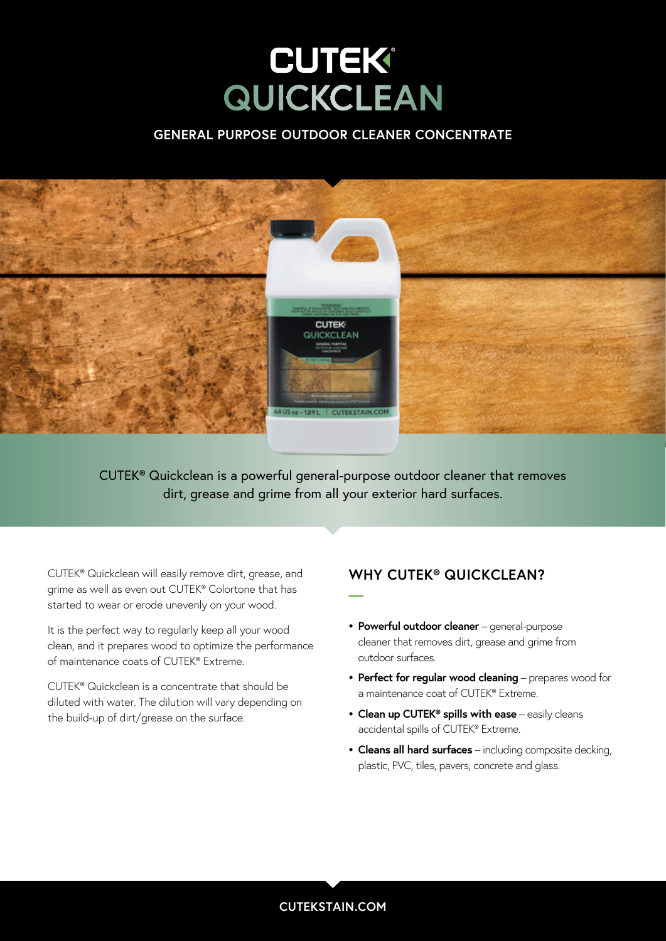### **GENERAL PURPOSE OUTDOOR CLEANER CONCENTRATE**



CUTEK® Quickclean is a powerful general-purpose outdoor cleaner that removes dirt, grease and grime from all your exterior hard surfaces.

**—**

CUTEK® Quickclean will easily remove dirt, grease, and grime as well as even out CUTEK® Colortone that has started to wear or erode unevenly on your wood.

It is the perfect way to regularly keep all your wood clean, and it prepares wood to optimize the performance of maintenance coats of CUTEK® Extreme.

CUTEK® Quickclean is a concentrate that should be diluted with water. The dilution will vary depending on the build-up of dirt/grease on the surface.

### **WHY CUTEK® QUICKCLEAN?**

- **• Powerful outdoor cleaner** general-purpose cleaner that removes dirt, grease and grime from outdoor surfaces.
- **• Perfect for regular wood cleaning** prepares wood for a maintenance coat of CUTEK® Extreme.
- **• Clean up CUTEK® spills with ease** easily cleans accidental spills of CUTEK® Extreme.
- **• Cleans all hard surfaces** including composite decking, plastic, PVC, tiles, pavers, concrete and glass.

### **CUTEKSTAIN.COM**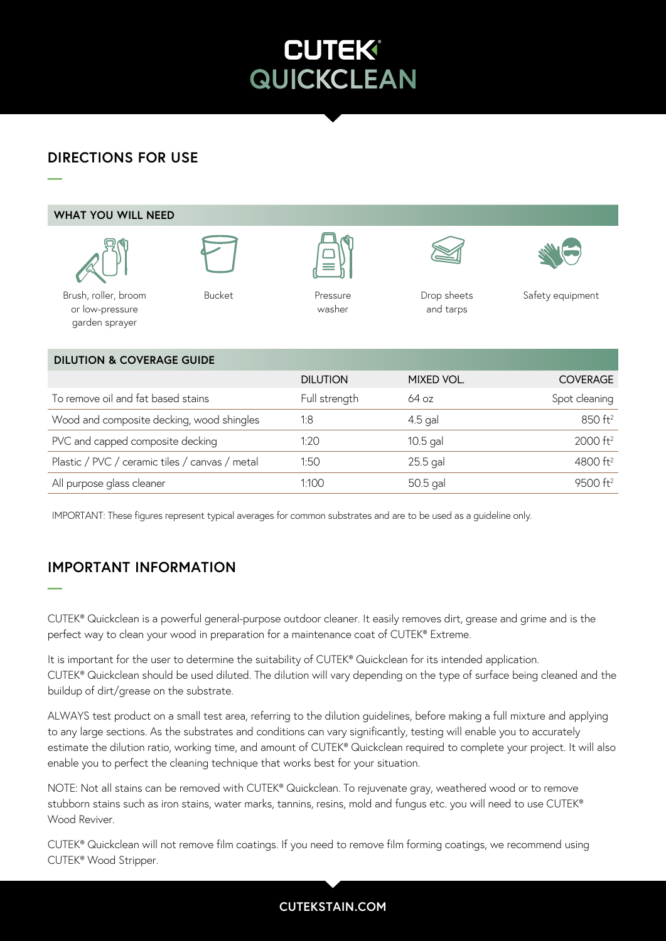washer Brush or paint pad Drop sheets and rags and rags and rags and rags and rags and rags and rags and rags a

## **DIRECTIONS FOR USE**



IMPORTANT: These figures represent typical averages for common substrates and are to be used as a guideline only.

# **IMPORTANT INFORMATION**

**—**

CUTEK® Quickclean is a powerful general-purpose outdoor cleaner. It easily removes dirt, grease and grime and is the perfect way to clean your wood in preparation for a maintenance coat of CUTEK® Extreme.

It is important for the user to determine the suitability of CUTEK® Quickclean for its intended application. CUTEK® Quickclean should be used diluted. The dilution will vary depending on the type of surface being cleaned and the buildup of dirt/grease on the substrate.

ALWAYS test product on a small test area, referring to the dilution guidelines, before making a full mixture and applying to any large sections. As the substrates and conditions can vary significantly, testing will enable you to accurately estimate the dilution ratio, working time, and amount of CUTEK® Quickclean required to complete your project. It will also enable you to perfect the cleaning technique that works best for your situation.

NOTE: Not all stains can be removed with CUTEK® Quickclean. To rejuvenate gray, weathered wood or to remove stubborn stains such as iron stains, water marks, tannins, resins, mold and fungus etc. you will need to use CUTEK® Wood Reviver

CUTEK® Quickclean will not remove film coatings. If you need to remove film forming coatings, we recommend using CUTEK® Wood Stripper.

### **CUTEKSTAIN.COM**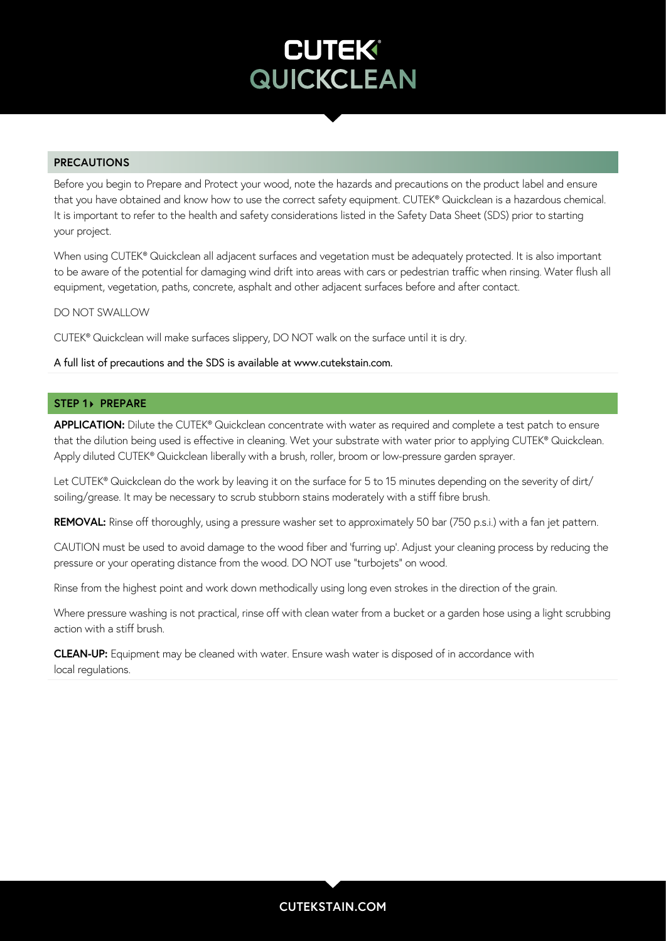### **PRECAUTIONS**

Before you begin to Prepare and Protect your wood, note the hazards and precautions on the product label and ensure that you have obtained and know how to use the correct safety equipment. CUTEK® Quickclean is a hazardous chemical. It is important to refer to the health and safety considerations listed in the Safety Data Sheet (SDS) prior to starting your project.

When using CUTEK® Quickclean all adjacent surfaces and vegetation must be adequately protected. It is also important to be aware of the potential for damaging wind drift into areas with cars or pedestrian traffic when rinsing. Water flush all equipment, vegetation, paths, concrete, asphalt and other adjacent surfaces before and after contact.

DO NOT SWALLOW

CUTEK® Quickclean will make surfaces slippery, DO NOT walk on the surface until it is dry.

#### A full list of precautions and the SDS is available at www.cutekstain.com.

#### **STEP 1> PREPARE**

**APPLICATION:** Dilute the CUTEK® Quickclean concentrate with water as required and complete a test patch to ensure that the dilution being used is effective in cleaning. Wet your substrate with water prior to applying CUTEK® Quickclean. Apply diluted CUTEK® Quickclean liberally with a brush, roller, broom or low-pressure garden sprayer.

Let CUTEK® Quickclean do the work by leaving it on the surface for 5 to 15 minutes depending on the severity of dirt/ soiling/grease. It may be necessary to scrub stubborn stains moderately with a stiff fibre brush.

**REMOVAL:** Rinse off thoroughly, using a pressure washer set to approximately 50 bar (750 p.s.i.) with a fan jet pattern.

CAUTION must be used to avoid damage to the wood fiber and 'furring up'. Adjust your cleaning process by reducing the pressure or your operating distance from the wood. DO NOT use "turbojets" on wood.

Rinse from the highest point and work down methodically using long even strokes in the direction of the grain.

Where pressure washing is not practical, rinse off with clean water from a bucket or a garden hose using a light scrubbing action with a stiff brush.

**CLEAN-UP:** Equipment may be cleaned with water. Ensure wash water is disposed of in accordance with local regulations.